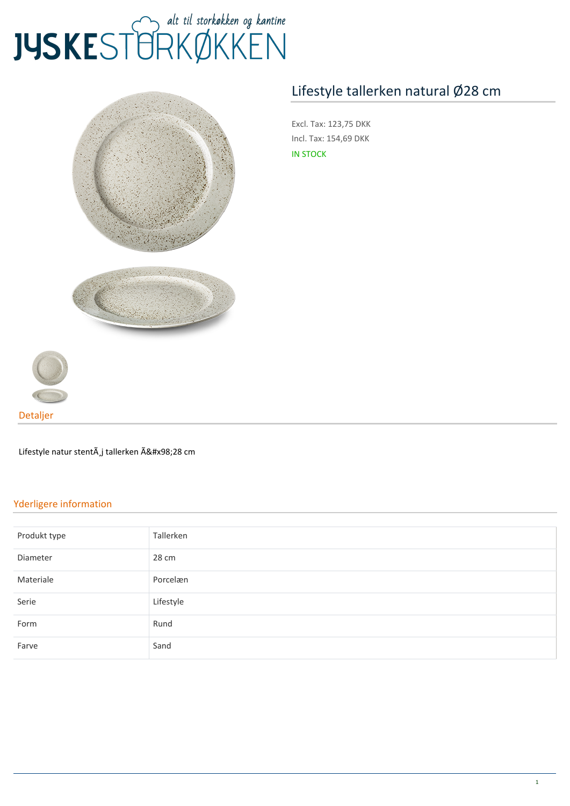## JUSKEST TRKØKKEN



## **[Lifestyle tallerken natural Ø28 cm](https://www.jyskestorkokken.dk/lifestyle-tallerken-natural-o28-cm-gb-lsn2128.html)**

**Excl. Tax:** 123,75 DKK **Incl. Tax:** 154,69 DKK IN STOCK



**Detaljer**

Lifestyle natur stentà j tallerken Ø28 cm

## **Yderligere information**

| Produkt type | Tallerken |
|--------------|-----------|
| Diameter     | 28 cm     |
| Materiale    | Porcelæn  |
| Serie        | Lifestyle |
| Form         | Rund      |
| Farve        | Sand      |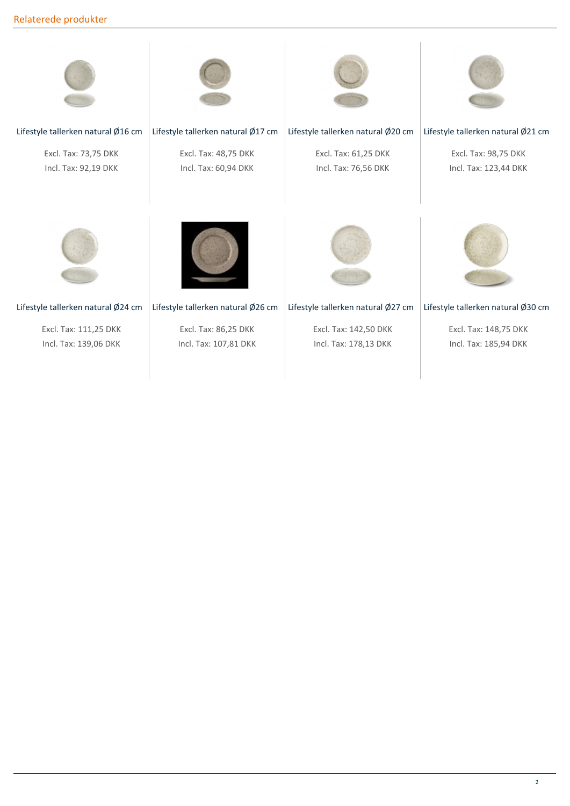## **Relaterede produkter**



**Excl. Tax:** 111,25 DKK **Incl. Tax:** 139,06 DKK

**Excl. Tax:** 86,25 DKK **Incl. Tax:** 107,81 DKK

**Excl. Tax:** 142,50 DKK **Incl. Tax:** 178,13 DKK

**Excl. Tax:** 148,75 DKK **Incl. Tax:** 185,94 DKK